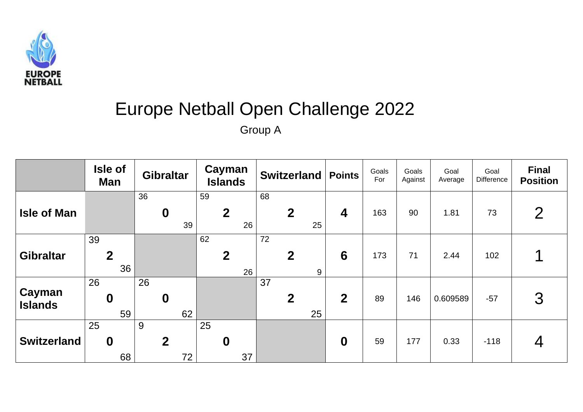

## Europe Netball Open Challenge 2022

Group A

|                          | Isle of<br><b>Man</b>        | <b>Gibraltar</b>             | Cayman<br><b>Islands</b>     | <b>Switzerland   Points</b>  |                         | Goals<br>For | Goals<br>Against | Goal<br>Average | Goal<br>Difference | <b>Final</b><br><b>Position</b> |
|--------------------------|------------------------------|------------------------------|------------------------------|------------------------------|-------------------------|--------------|------------------|-----------------|--------------------|---------------------------------|
| <b>Isle of Man</b>       |                              | 36<br>$\boldsymbol{0}$<br>39 | 59<br>$\boldsymbol{2}$<br>26 | 68<br>$\boldsymbol{2}$<br>25 | $\overline{\mathbf{4}}$ | 163          | 90               | 1.81            | 73                 | $\overline{2}$                  |
| <b>Gibraltar</b>         | 39<br>$\overline{2}$<br>36   |                              | 62<br>$\boldsymbol{2}$<br>26 | 72<br>$\mathbf{2}$<br>9      | $6\phantom{1}6$         | 173          | 71               | 2.44            | 102                |                                 |
| Cayman<br><b>Islands</b> | 26<br>$\boldsymbol{0}$<br>59 | 26<br>$\boldsymbol{0}$<br>62 |                              | 37<br>$\overline{2}$<br>25   | $\boldsymbol{2}$        | 89           | 146              | 0.609589        | $-57$              | 3                               |
| <b>Switzerland</b>       | 25<br>$\boldsymbol{0}$<br>68 | 9<br>$\boldsymbol{2}$<br>72  | 25<br>$\boldsymbol{0}$<br>37 |                              | $\boldsymbol{0}$        | 59           | 177              | 0.33            | $-118$             | 4                               |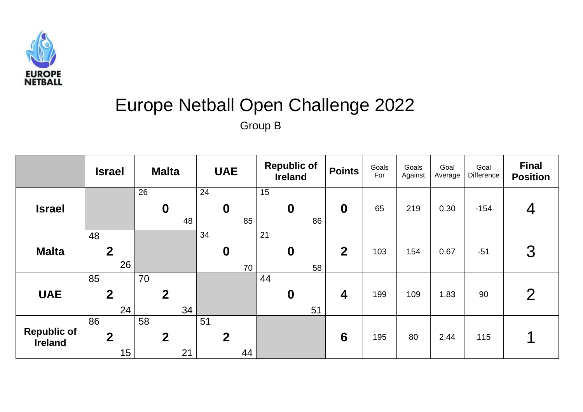

## Europe Netball Open Challenge 2022 Group B

|                                      | <b>Israel</b>                | <b>Malta</b>                 | <b>UAE</b>                   | <b>Republic of</b><br><b>Ireland</b> | <b>Points</b>    | Goals<br>For | Goals<br>Against | Goal<br>Average | Goal<br>Difference | <b>Final</b><br><b>Position</b> |
|--------------------------------------|------------------------------|------------------------------|------------------------------|--------------------------------------|------------------|--------------|------------------|-----------------|--------------------|---------------------------------|
| <b>Israel</b>                        |                              | 26<br>$\boldsymbol{0}$<br>48 | 24<br>$\boldsymbol{0}$<br>85 | 15<br>$\boldsymbol{0}$<br>86         | $\boldsymbol{0}$ | 65           | 219              | 0.30            | $-154$             | 4                               |
| <b>Malta</b>                         | 48<br>$\boldsymbol{2}$<br>26 |                              | 34<br>$\boldsymbol{0}$<br>70 | 21<br>$\boldsymbol{0}$<br>58         | $\overline{2}$   | 103          | 154              | 0.67            | $-51$              | 3                               |
| <b>UAE</b>                           | 85<br>$\overline{2}$<br>24   | 70<br>$\overline{2}$<br>34   |                              | 44<br>$\boldsymbol{0}$<br>51         | $\boldsymbol{4}$ | 199          | 109              | 1.83            | 90                 | $\overline{2}$                  |
| <b>Republic of</b><br><b>Ireland</b> | 86<br>$\overline{2}$<br>15   | 58<br>$\overline{2}$<br>21   | 51<br>$\overline{2}$<br>44   |                                      | $6\phantom{1}6$  | 195          | 80               | 2.44            | 115                |                                 |